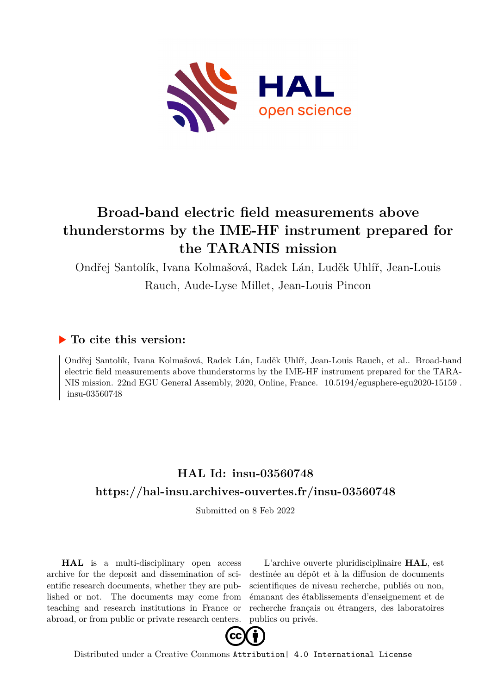

## **Broad-band electric field measurements above thunderstorms by the IME-HF instrument prepared for the TARANIS mission**

Ondřej Santolík, Ivana Kolmašová, Radek Lán, Luděk Uhlíř, Jean-Louis

Rauch, Aude-Lyse Millet, Jean-Louis Pincon

## **To cite this version:**

Ondřej Santolík, Ivana Kolmašová, Radek Lán, Luděk Uhlíř, Jean-Louis Rauch, et al.. Broad-band electric field measurements above thunderstorms by the IME-HF instrument prepared for the TARA-NIS mission. 22nd EGU General Assembly, 2020, Online, France.  $10.5194$ /egusphere-egu2020-15159. insu-03560748

## **HAL Id: insu-03560748 <https://hal-insu.archives-ouvertes.fr/insu-03560748>**

Submitted on 8 Feb 2022

**HAL** is a multi-disciplinary open access archive for the deposit and dissemination of scientific research documents, whether they are published or not. The documents may come from teaching and research institutions in France or abroad, or from public or private research centers.

L'archive ouverte pluridisciplinaire **HAL**, est destinée au dépôt et à la diffusion de documents scientifiques de niveau recherche, publiés ou non, émanant des établissements d'enseignement et de recherche français ou étrangers, des laboratoires publics ou privés.



Distributed under a Creative Commons [Attribution| 4.0 International License](http://creativecommons.org/licenses/by/4.0/)